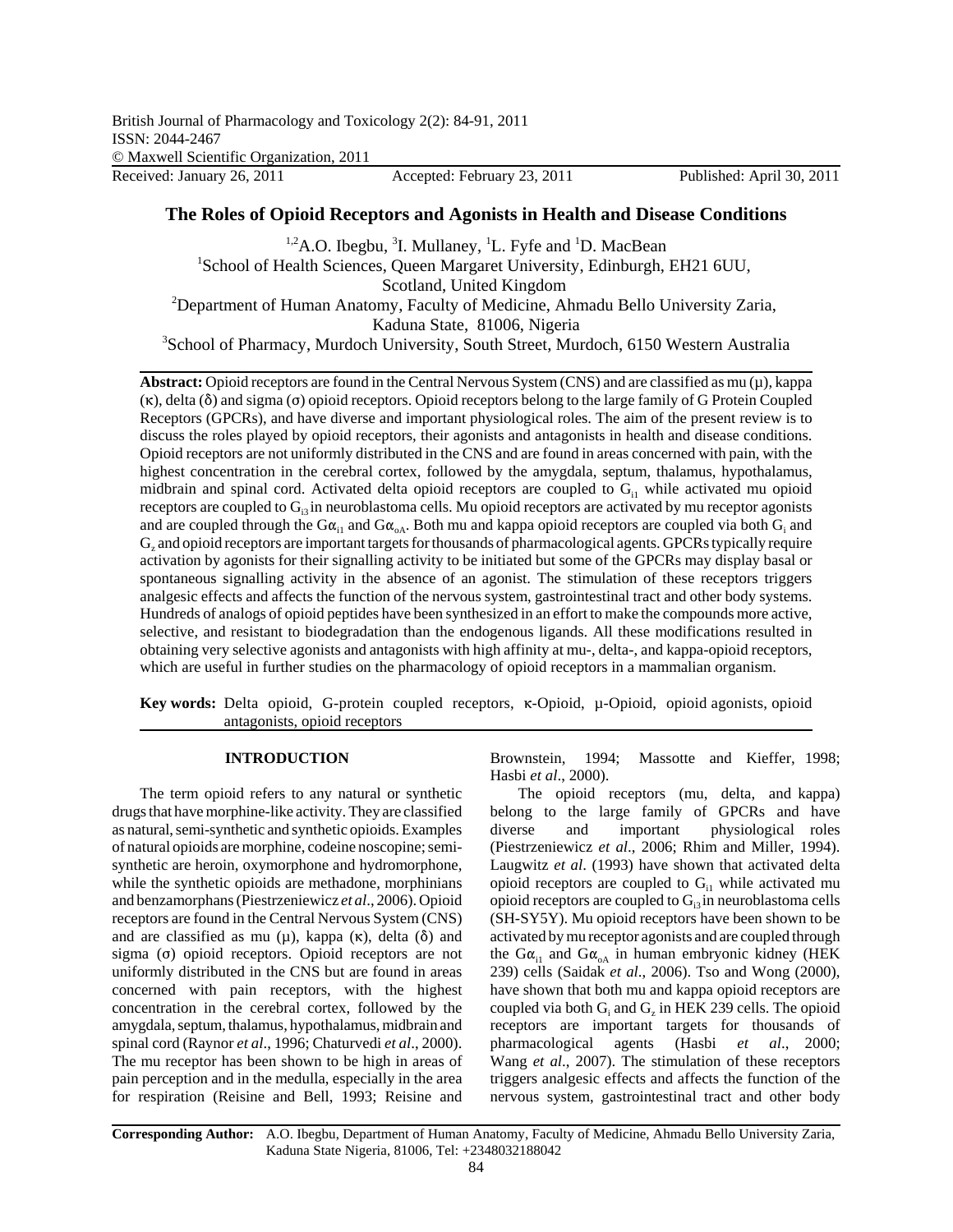# **The Roles of Opioid Receptors and Agonists in Health and Disease Conditions**

<sup>1,2</sup>A.O. Ibegbu, <sup>3</sup>I. Mullaney, <sup>1</sup>L. Fyfe and <sup>1</sup>D. MacBean <sup>1</sup>School of Health Sciences, Queen Margaret University, Edinburgh, EH21 6UU, Scotland, United Kingdom<br><sup>2</sup>Department of Human Anatomy, Faculty of Medicine, Ahmadu Bello University Zaria, Kaduna State, 81006, Nigeria <sup>3</sup>School of Pharmacy, Murdoch University, South Street, Murdoch, 6150 Western Australia

**Abstract:** Opioid receptors are found in the Central Nervous System (CNS) and are classified as mu  $(\mu)$ , kappa  $(\kappa)$ , delta  $(\delta)$  and sigma ( $\sigma$ ) opioid receptors. Opioid receptors belong to the large family of G Protein Coupled Receptors (GPCRs), and have diverse and important physiological roles. The aim of the present review is to discuss the roles played by opioid receptors, their agonists and antagonists in health and disease conditions. Opioid receptors are not uniformly distributed in the CNS and are found in areas concerned with pain, with the highest concentration in the cerebral cortex, followed by the amygdala, septum, thalamus, hypothalamus, midbrain and spinal cord. Activated delta opioid receptors are coupled to  $G<sub>il</sub>$  while activated mu opioid receptors are coupled to  $G<sub>3</sub>$  in neuroblastoma cells. Mu opioid receptors are activated by mu receptor agonists and are coupled through the G $\alpha_{i1}$  and G $\alpha_{oA}$ . Both mu and kappa opioid receptors are coupled via both G<sub>i</sub> and G<sub>z</sub> and opioid receptors are important targets for thousands of pharmacological agents. GPCRs typically require activation by agonists for their signalling activity to be initiated but some of the GPCRs may display basal or spontaneous signalling activity in the absence of an agonist. The stimulation of these receptors triggers analgesic effects and affects the function of the nervous system, gastrointestinal tract and other body systems. Hundreds of analogs of opioid peptides have been synthesized in an effort to make the compounds more active, selective, and resistant to biodegradation than the endogenous ligands. All these modifications resulted in obtaining very selective agonists and antagonists with high affinity at mu-, delta-, and kappa-opioid receptors, which are useful in further studies on the pharmacology of opioid receptors in a mammalian organism.

Key words: Delta opioid, G-protein coupled receptors,  $\kappa$ -Opioid,  $\mu$ -Opioid, opioid agonists, opioid antagonists, opioid receptors

### **INTRODUCTION**

The term opioid refers to any natural or synthetic drugs that have morphine-like activity. They are classified as natural, semi-synthetic and synthetic opioids. Examples of natural opioids are morphine, codeine noscopine; semisynthetic are heroin, oxymorphone and hydromorphone, while the synthetic opioids are methadone, morphinians and benzamorphans (Piestrzeniewicz *et al*., 2006). Opioid receptors are found in the Central Nervous System (CNS) and are classified as mu  $(\mu)$ , kappa  $(\kappa)$ , delta  $(\delta)$  and sigma  $(σ)$  opioid receptors. Opioid receptors are not uniformly distributed in the CNS but are found in areas concerned with pain receptors, with the highest concentration in the cerebral cortex, followed by the amygdala, septum, thalamus, hypothalamus, midbrain and spinal cord (Raynor *et al*., 1996; Chaturvedi *et al*., 2000). The mu receptor has been shown to be high in areas of pain perception and in the medulla, especially in the area for respiration (Reisine and Bell, 1993; Reisine and Brownstein, 1994; Massotte and Kieffer, 1998; Hasbi *et al*., 2000).

The opioid receptors (mu, delta, and kappa) belong to the large family of GPCRs and have diverse and important physiological roles (Piestrzeniewicz *et al*., 2006; Rhim and Miller, 1994). Laugwitz *et al*. (1993) have shown that activated delta opioid receptors are coupled to  $G<sub>il</sub>$  while activated mu opioid receptors are coupled to  $G_i$ <sub>3</sub> in neuroblastoma cells (SH-SY5Y). Mu opioid receptors have been shown to be activated by mu receptor agonists and are coupled through the G $\alpha_{i1}$  and G $\alpha_{oA}$  in human embryonic kidney (HEK 239) cells (Saidak *et al*., 2006). Tso and Wong (2000), have shown that both mu and kappa opioid receptors are coupled via both  $G_i$  and  $G_z$  in HEK 239 cells. The opioid receptors are important targets for thousands of pharmacological agents (Hasbi *et al*., 2000; Wang *et al*., 2007). The stimulation of these receptors triggers analgesic effects and affects the function of the nervous system, gastrointestinal tract and other body

**Corresponding Author:** A.O. Ibegbu, Department of Human Anatomy, Faculty of Medicine, Ahmadu Bello University Zaria, Kaduna State Nigeria, 81006, Tel: +2348032188042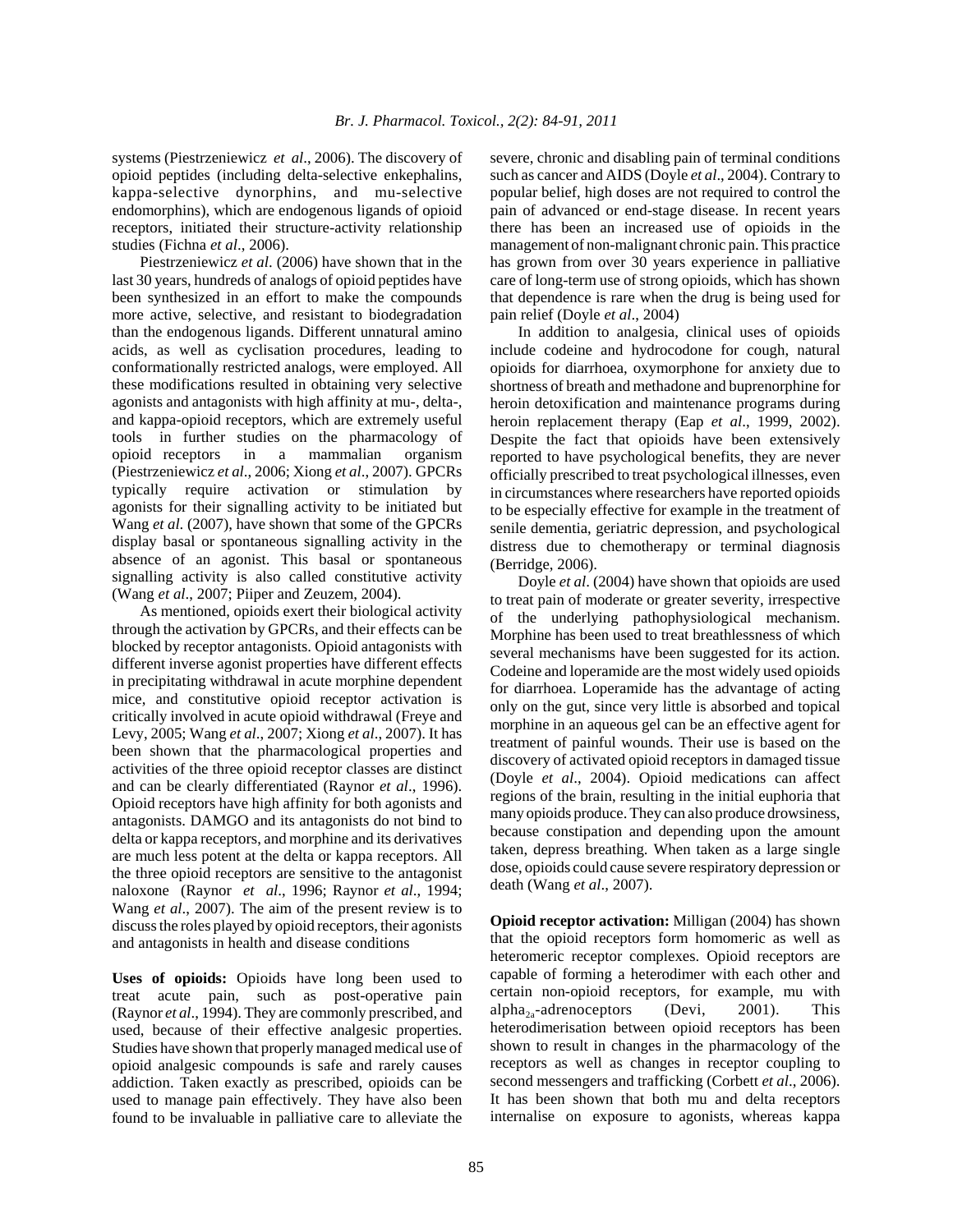systems (Piestrzeniewicz *et al*., 2006). The discovery of opioid peptides (including delta-selective enkephalins, kappa-selective dynorphins, and mu-selective endomorphins), which are endogenous ligands of opioid receptors, initiated their structure-activity relationship studies (Fichna *et al*., 2006).

Piestrzeniewicz *et al*. (2006) have shown that in the last 30 years, hundreds of analogs of opioid peptides have been synthesized in an effort to make the compounds more active, selective, and resistant to biodegradation than the endogenous ligands. Different unnatural amino acids, as well as cyclisation procedures, leading to conformationally restricted analogs, were employed. All these modifications resulted in obtaining very selective agonists and antagonists with high affinity at mu-, delta-, and kappa-opioid receptors, which are extremely useful tools in further studies on the pharmacology of opioid receptors in a mammalian organism (Piestrzeniewicz *et al*., 2006; Xiong *et al*., 2007). GPCRs typically require activation or stimulation by agonists for their signalling activity to be initiated but Wang *et al*. (2007), have shown that some of the GPCRs display basal or spontaneous signalling activity in the absence of an agonist. This basal or spontaneous signalling activity is also called constitutive activity (Wang *et al*., 2007; Piiper and Zeuzem, 2004).

As mentioned, opioids exert their biological activity through the activation by GPCRs, and their effects can be blocked by receptor antagonists. Opioid antagonists with different inverse agonist properties have different effects in precipitating withdrawal in acute morphine dependent mice, and constitutive opioid receptor activation is critically involved in acute opioid withdrawal (Freye and Levy, 2005; Wang *et al*., 2007; Xiong *et al*., 2007). It has been shown that the pharmacological properties and activities of the three opioid receptor classes are distinct and can be clearly differentiated (Raynor *et al*., 1996). Opioid receptors have high affinity for both agonists and antagonists. DAMGO and its antagonists do not bind to delta or kappa receptors, and morphine and its derivatives are much less potent at the delta or kappa receptors. All the three opioid receptors are sensitive to the antagonist naloxone (Raynor *et al*., 1996; Raynor *et al*., 1994; Wang *et al*., 2007). The aim of the present review is to discuss the roles played by opioid receptors, their agonists and antagonists in health and disease conditions

**Uses of opioids:** Opioids have long been used to treat acute pain, such as post-operative pain (Raynor *et al*., 1994). They are commonly prescribed, and used, because of their effective analgesic properties. Studies have shown that properly managed medical use of opioid analgesic compounds is safe and rarely causes addiction. Taken exactly as prescribed, opioids can be used to manage pain effectively. They have also been found to be invaluable in palliative care to alleviate the severe, chronic and disabling pain of terminal conditions such as cancer and AIDS (Doyle *et al*., 2004). Contrary to popular belief, high doses are not required to control the pain of advanced or end-stage disease. In recent years there has been an increased use of opioids in the management of non-malignant chronic pain. This practice has grown from over 30 years experience in palliative care of long-term use of strong opioids, which has shown that dependence is rare when the drug is being used for pain relief (Doyle *et al*., 2004)

In addition to analgesia, clinical uses of opioids include codeine and hydrocodone for cough, natural opioids for diarrhoea, oxymorphone for anxiety due to shortness of breath and methadone and buprenorphine for heroin detoxification and maintenance programs during heroin replacement therapy (Eap *et al*., 1999, 2002). Despite the fact that opioids have been extensively reported to have psychological benefits, they are never officially prescribed to treat psychological illnesses, even in circumstances where researchers have reported opioids to be especially effective for example in the treatment of senile dementia, geriatric depression, and psychological distress due to chemotherapy or terminal diagnosis (Berridge, 2006).

Doyle *et al*. (2004) have shown that opioids are used to treat pain of moderate or greater severity, irrespective of the underlying pathophysiological mechanism. Morphine has been used to treat breathlessness of which several mechanisms have been suggested for its action. Codeine and loperamide are the most widely used opioids for diarrhoea. Loperamide has the advantage of acting only on the gut, since very little is absorbed and topical morphine in an aqueous gel can be an effective agent for treatment of painful wounds. Their use is based on the discovery of activated opioid receptors in damaged tissue (Doyle *et al*., 2004). Opioid medications can affect regions of the brain, resulting in the initial euphoria that many opioids produce. They can also produce drowsiness, because constipation and depending upon the amount taken, depress breathing. When taken as a large single dose, opioids could cause severe respiratory depression or death (Wang *et al*., 2007).

**Opioid receptor activation:** Milligan (2004) has shown that the opioid receptors form homomeric as well as heteromeric receptor complexes. Opioid receptors are capable of forming a heterodimer with each other and certain non-opioid receptors, for example, mu with alpha<sub>2a</sub>-adrenoceptors (Devi, 2001). This heterodimerisation between opioid receptors has been shown to result in changes in the pharmacology of the receptors as well as changes in receptor coupling to second messengers and trafficking (Corbett *et al*., 2006). It has been shown that both mu and delta receptors internalise on exposure to agonists, whereas kappa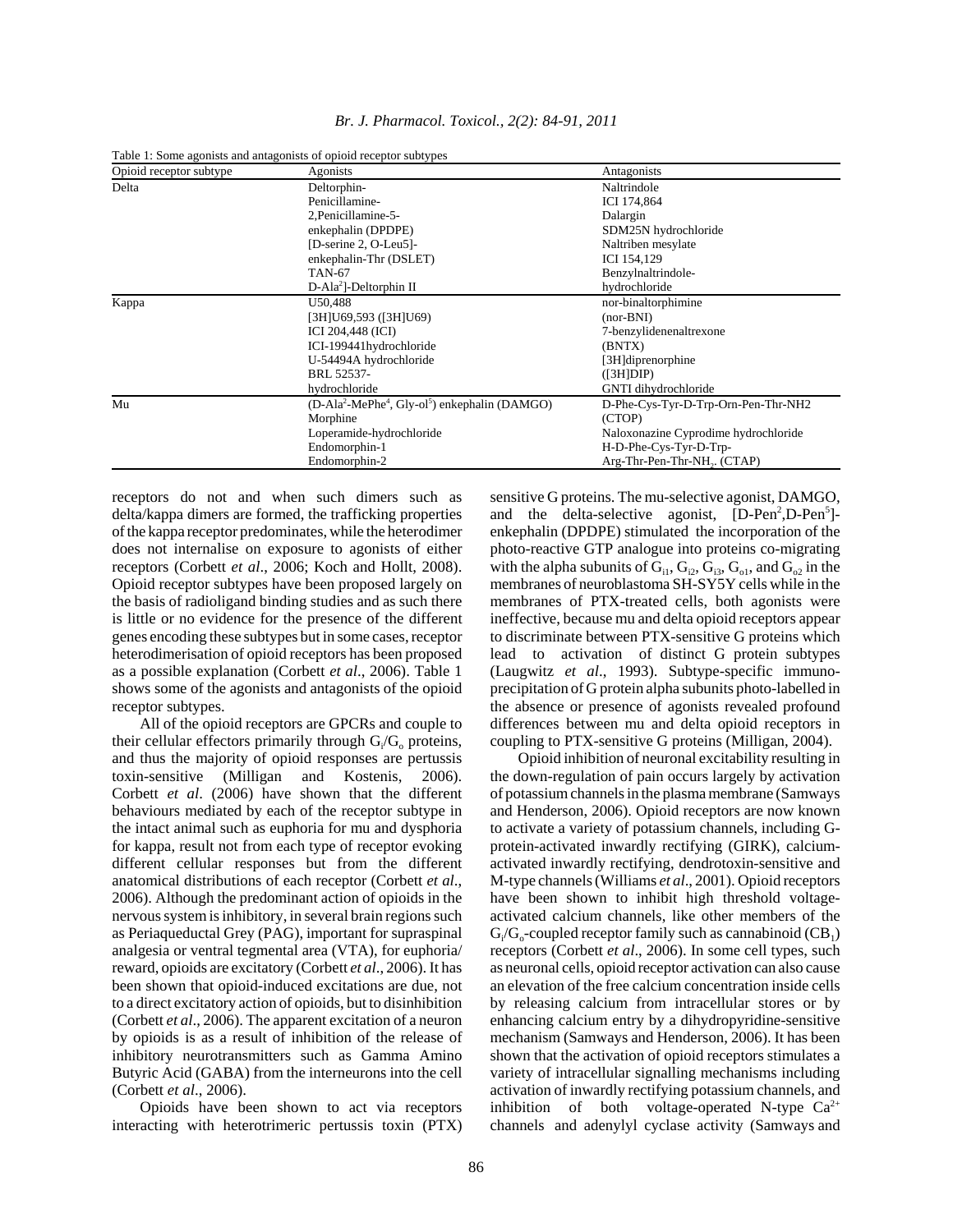| Opioid receptor subtype | Agonists                                                                           | Antagonists                              |
|-------------------------|------------------------------------------------------------------------------------|------------------------------------------|
| Delta                   | Deltorphin-                                                                        | Naltrindole                              |
|                         | Penicillamine-                                                                     | ICI 174,864                              |
|                         | 2, Penicillamine-5-                                                                | Dalargin                                 |
|                         | enkephalin (DPDPE)                                                                 | SDM25N hydrochloride                     |
|                         | [D-serine 2, O-Leu5]-                                                              | Naltriben mesylate                       |
|                         | enkephalin-Thr (DSLET)                                                             | ICI 154,129                              |
|                         | <b>TAN-67</b>                                                                      | Benzylnaltrindole-                       |
|                         | $D-Ala2$ ]-Deltorphin II                                                           | hydrochloride                            |
| Kappa                   | U50,488                                                                            | nor-binaltorphimine                      |
|                         | [3H]U69,593 ([3H]U69)                                                              | $(nor-BNI)$                              |
|                         | <b>ICI 204,448 (ICI)</b>                                                           | 7-benzylidenenaltrexone                  |
|                         | ICI-199441hydrochloride                                                            | (BNTX)                                   |
|                         | U-54494A hydrochloride                                                             | [3H]diprenorphine                        |
|                         | BRL 52537-                                                                         | (I3H]DIP)                                |
|                         | hydrochloride                                                                      | GNTI dihydrochloride                     |
| Mu                      | (D-Ala <sup>2</sup> -MePhe <sup>4</sup> , Gly-ol <sup>5</sup> ) enkephalin (DAMGO) | D-Phe-Cys-Tyr-D-Trp-Orn-Pen-Thr-NH2      |
|                         | Morphine                                                                           | (CTOP)                                   |
|                         | Loperamide-hydrochloride                                                           | Naloxonazine Cyprodime hydrochloride     |
|                         | Endomorphin-1                                                                      | H-D-Phe-Cys-Tyr-D-Trp-                   |
|                         | Endomorphin-2                                                                      | Arg-Thr-Pen-Thr-NH <sub>2</sub> . (CTAP) |

*Br. J. Pharmacol. Toxicol., 2(2): 84-91, 2011*

Table 1: Some agonists and antagonists of opioid receptor subtypes

receptors do not and when such dimers such as delta/kappa dimers are formed, the trafficking properties of the kappa receptor predominates, while the heterodimer does not internalise on exposure to agonists of either receptors (Corbett *et al*., 2006; Koch and Hollt, 2008). Opioid receptor subtypes have been proposed largely on the basis of radioligand binding studies and as such there is little or no evidence for the presence of the different genes encoding these subtypes but in some cases, receptor heterodimerisation of opioid receptors has been proposed as a possible explanation (Corbett *et al*., 2006). Table 1 shows some of the agonists and antagonists of the opioid receptor subtypes.

All of the opioid receptors are GPCRs and couple to their cellular effectors primarily through  $G_i/G_o$  proteins, and thus the majority of opioid responses are pertussis toxin-sensitive (Milligan and Kostenis, 2006). Corbett *et al*. (2006) have shown that the different behaviours mediated by each of the receptor subtype in the intact animal such as euphoria for mu and dysphoria for kappa, result not from each type of receptor evoking different cellular responses but from the different anatomical distributions of each receptor (Corbett *et al*., 2006). Although the predominant action of opioids in the nervous system is inhibitory, in several brain regions such as Periaqueductal Grey (PAG), important for supraspinal analgesia or ventral tegmental area (VTA), for euphoria/ reward, opioids are excitatory (Corbett *et al*., 2006). It has been shown that opioid-induced excitations are due, not to a direct excitatory action of opioids, but to disinhibition (Corbett *et al*., 2006). The apparent excitation of a neuron by opioids is as a result of inhibition of the release of inhibitory neurotransmitters such as Gamma Amino Butyric Acid (GABA) from the interneurons into the cell (Corbett *et al*., 2006).

Opioids have been shown to act via receptors interacting with heterotrimeric pertussis toxin (PTX) sensitive G proteins. The mu-selective agonist, DAMGO, and the delta-selective agonist, [D-Pen<sup>2</sup>,D-Pen<sup>5</sup>]enkephalin (DPDPE) stimulated the incorporation of the photo-reactive GTP analogue into proteins co-migrating with the alpha subunits of  $G_{i1}$ ,  $G_{i2}$ ,  $G_{i3}$ ,  $G_{o1}$ , and  $G_{o2}$  in the membranes of neuroblastoma SH-SY5Y cells while in the membranes of PTX-treated cells, both agonists were ineffective, because mu and delta opioid receptors appear to discriminate between PTX-sensitive G proteins which lead to activation of distinct G protein subtypes (Laugwitz *et al*., 1993). Subtype-specific immunoprecipitation of G protein alpha subunits photo-labelled in the absence or presence of agonists revealed profound differences between mu and delta opioid receptors in coupling to PTX-sensitive G proteins (Milligan, 2004).

Opioid inhibition of neuronal excitability resulting in the down-regulation of pain occurs largely by activation of potassium channels in the plasma membrane (Samways and Henderson, 2006). Opioid receptors are now known to activate a variety of potassium channels, including Gprotein-activated inwardly rectifying (GIRK), calciumactivated inwardly rectifying, dendrotoxin-sensitive and M-type channels (Williams *et al*., 2001). Opioid receptors have been shown to inhibit high threshold voltageactivated calcium channels, like other members of the  $G_i/G_o$ -coupled receptor family such as cannabinoid (CB<sub>1</sub>) receptors (Corbett *et al*., 2006). In some cell types, such as neuronal cells, opioid receptor activation can also cause an elevation of the free calcium concentration inside cells by releasing calcium from intracellular stores or by enhancing calcium entry by a dihydropyridine-sensitive mechanism (Samways and Henderson, 2006). It has been shown that the activation of opioid receptors stimulates a variety of intracellular signalling mechanisms including activation of inwardly rectifying potassium channels, and inhibition of both voltage-operated N-type  $Ca^{2+}$ channels and adenylyl cyclase activity (Samways and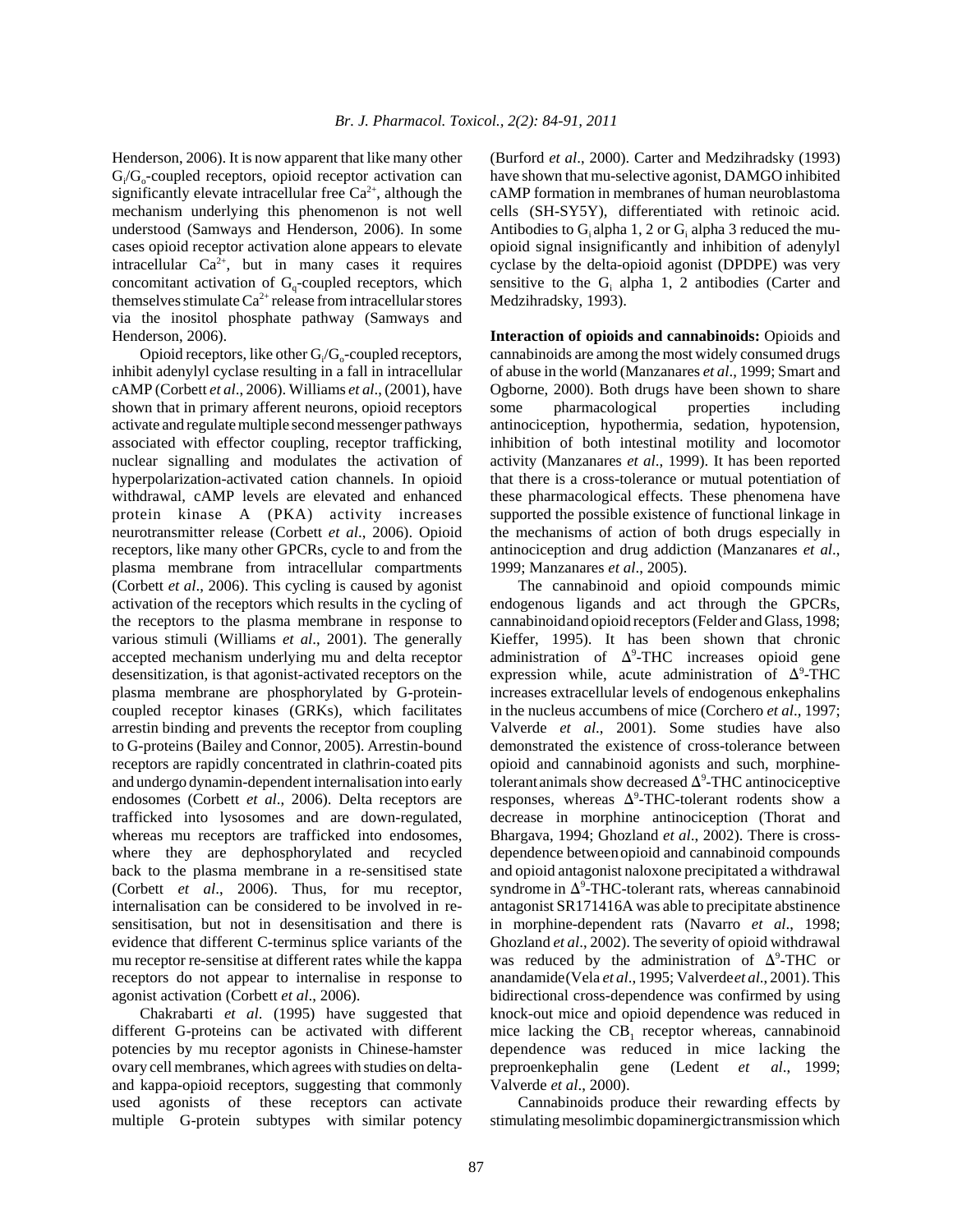Henderson, 2006). It is now apparent that like many other  $G_i/G_o$ -coupled receptors, opioid receptor activation can significantly elevate intracellular free  $Ca^{2+}$ , although the mechanism underlying this phenomenon is not well understood (Samways and Henderson, 2006). In some cases opioid receptor activation alone appears to elevate intracellular  $Ca^{2+}$ , but in many cases it requires concomitant activation of  $G<sub>a</sub>$ -coupled receptors, which themselves stimulate  $Ca^{2+}$  release from intracellular stores via the inositol phosphate pathway (Samways and Henderson, 2006).

Opioid receptors, like other  $G_i/G_o$ -coupled receptors, inhibit adenylyl cyclase resulting in a fall in intracellular cAMP (Corbett *et al*., 2006). Williams *et al*., (2001), have shown that in primary afferent neurons, opioid receptors activate and regulate multiple second messenger pathways associated with effector coupling, receptor trafficking, nuclear signalling and modulates the activation of hyperpolarization-activated cation channels. In opioid withdrawal, cAMP levels are elevated and enhanced protein kinase A (PKA) activity increases neurotransmitter release (Corbett *et al*., 2006). Opioid receptors, like many other GPCRs, cycle to and from the plasma membrane from intracellular compartments (Corbett *et al*., 2006). This cycling is caused by agonist activation of the receptors which results in the cycling of the receptors to the plasma membrane in response to various stimuli (Williams *et al*., 2001). The generally accepted mechanism underlying mu and delta receptor desensitization, is that agonist-activated receptors on the plasma membrane are phosphorylated by G-proteincoupled receptor kinases (GRKs), which facilitates arrestin binding and prevents the receptor from coupling to G-proteins (Bailey and Connor, 2005). Arrestin-bound receptors are rapidly concentrated in clathrin-coated pits and undergo dynamin-dependent internalisation into early endosomes (Corbett *et al*., 2006). Delta receptors are trafficked into lysosomes and are down-regulated, whereas mu receptors are trafficked into endosomes, where they are dephosphorylated and recycled back to the plasma membrane in a re-sensitised state (Corbett *et al*., 2006). Thus, for mu receptor, internalisation can be considered to be involved in resensitisation, but not in desensitisation and there is evidence that different C-terminus splice variants of the mu receptor re-sensitise at different rates while the kappa receptors do not appear to internalise in response to agonist activation (Corbett *et al*., 2006).

Chakrabarti *et al*. (1995) have suggested that different G-proteins can be activated with different potencies by mu receptor agonists in Chinese-hamster ovary cell membranes, which agrees with studies on deltaand kappa-opioid receptors, suggesting that commonly used agonists of these receptors can activate multiple G-protein subtypes with similar potency (Burford *et al*., 2000). Carter and Medzihradsky (1993) have shown that mu-selective agonist, DAMGO inhibited cAMP formation in membranes of human neuroblastoma cells (SH-SY5Y), differentiated with retinoic acid. Antibodies to  $G_i$  alpha 1, 2 or  $G_i$  alpha 3 reduced the muopioid signal insignificantly and inhibition of adenylyl cyclase by the delta-opioid agonist (DPDPE) was very sensitive to the  $G_i$  alpha 1, 2 antibodies (Carter and Medzihradsky, 1993).

**Interaction of opioids and cannabinoids:** Opioids and cannabinoids are among the most widely consumed drugs of abuse in the world (Manzanares *et al*., 1999; Smart and Ogborne, 2000). Both drugs have been shown to share some pharmacological properties including antinociception, hypothermia, sedation, hypotension, inhibition of both intestinal motility and locomotor activity (Manzanares *et al*., 1999). It has been reported that there is a cross-tolerance or mutual potentiation of these pharmacological effects. These phenomena have supported the possible existence of functional linkage in the mechanisms of action of both drugs especially in antinociception and drug addiction (Manzanares *et al*., 1999; Manzanares *et al*., 2005).

The cannabinoid and opioid compounds mimic endogenous ligands and act through the GPCRs, cannabinoidand opioid receptors (Felder and Glass, 1998; Kieffer, 1995). It has been shown that chronic administration of  $\Delta^9$ -THC increases opioid gene expression while, acute administration of  $\Delta^9$ -THC increases extracellular levels of endogenous enkephalins in the nucleus accumbens of mice (Corchero *et al*., 1997; Valverde *et al*., 2001). Some studies have also demonstrated the existence of cross-tolerance between opioid and cannabinoid agonists and such, morphinetolerant animals show decreased  $\Delta^9$ -THC antinociceptive responses, whereas  $\Delta^9$ -THC-tolerant rodents show a decrease in morphine antinociception (Thorat and Bhargava, 1994; Ghozland *et al*., 2002). There is crossdependence betweenopioid and cannabinoid compounds and opioid antagonist naloxone precipitated a withdrawal syndrome in  $\Delta^9$ -THC-tolerant rats, whereas cannabinoid antagonist SR171416A was able to precipitate abstinence in morphine-dependent rats (Navarro *et al*., 1998; Ghozland *et al*., 2002). The severity of opioid withdrawal was reduced by the administration of  $\Delta^9$ -THC or anandamide(Vela *et al*., 1995; Valverde*et al*., 2001). This bidirectional cross-dependence was confirmed by using knock-out mice and opioid dependence was reduced in mice lacking the  $CB_1$  receptor whereas, cannabinoid dependence was reduced in mice lacking the preproenkephalin gene (Ledent *et al*., 1999; Valverde *et al*., 2000).

Cannabinoids produce their rewarding effects by stimulating mesolimbic dopaminergictransmission which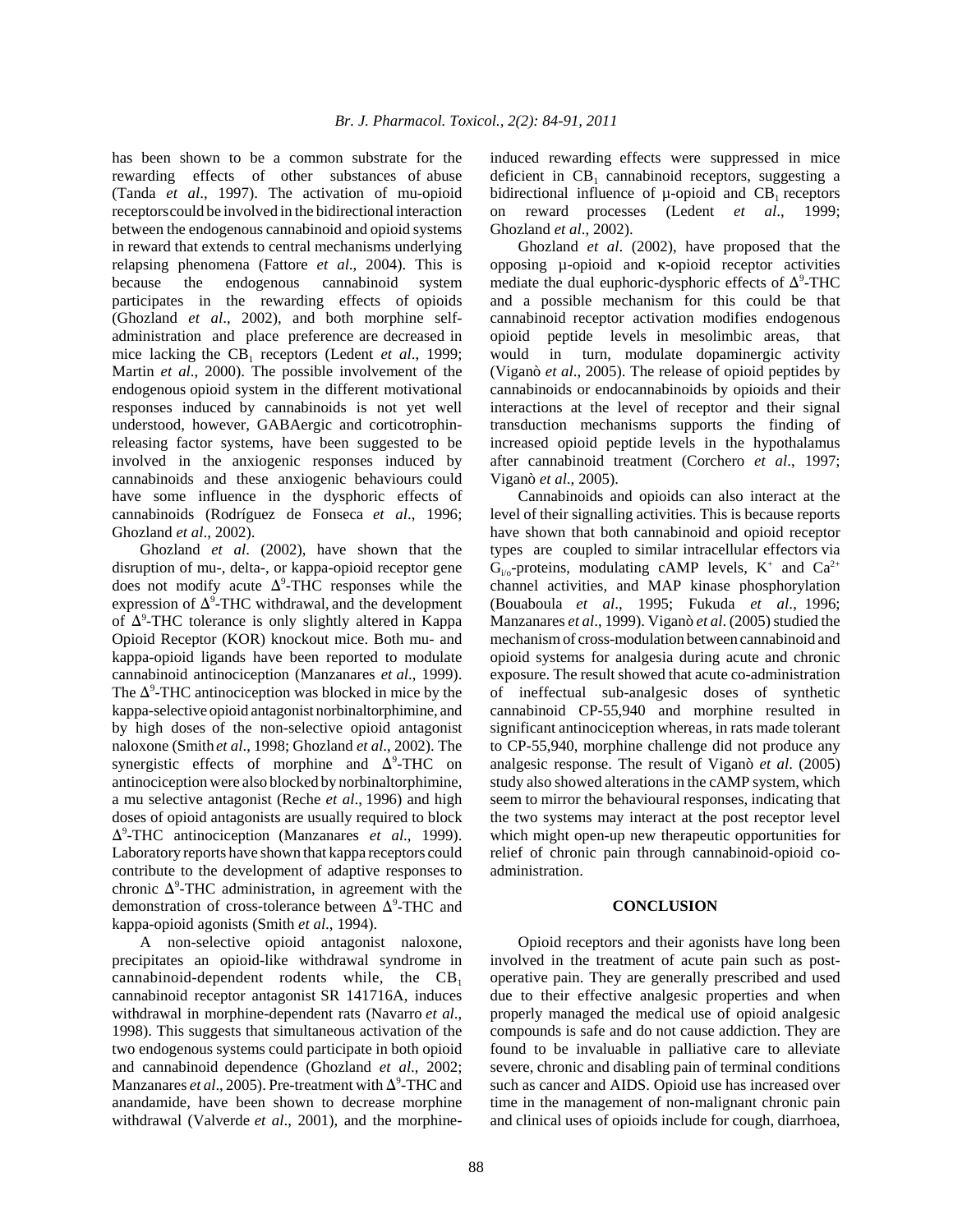has been shown to be a common substrate for the rewarding effects of other substances of abuse (Tanda *et al*., 1997). The activation of mu-opioid receptorscould be involved in the bidirectional interaction between the endogenous cannabinoid and opioid systems in reward that extends to central mechanisms underlying relapsing phenomena (Fattore *et al*., 2004). This is because the endogenous cannabinoid system participates in the rewarding effects of opioids (Ghozland *et al*., 2002), and both morphine selfadministration and place preference are decreased in mice lacking the CB<sub>1</sub> receptors (Ledent *et al.*, 1999; Martin *et al*., 2000). The possible involvement of the endogenous opioid system in the different motivational responses induced by cannabinoids is not yet well understood, however, GABAergic and corticotrophinreleasing factor systems, have been suggested to be involved in the anxiogenic responses induced by cannabinoids and these anxiogenic behaviours could have some influence in the dysphoric effects of cannabinoids (Rodríguez de Fonseca *et al*., 1996; Ghozland *et al*., 2002).

Ghozland *et al*. (2002), have shown that the disruption of mu-, delta-, or kappa-opioid receptor gene does not modify acute  $\Delta^9$ -THC responses while the expression of  $\Delta^9$ -THC withdrawal, and the development of  $\Delta^9$ -THC tolerance is only slightly altered in Kappa Opioid Receptor (KOR) knockout mice. Both mu- and kappa-opioid ligands have been reported to modulate cannabinoid antinociception (Manzanares *et al*., 1999). The  $\Delta^9$ -THC antinociception was blocked in mice by the kappa-selective opioid antagonist norbinaltorphimine, and by high doses of the non-selective opioid antagonist naloxone (Smith*et al*., 1998; Ghozland *et al*., 2002). The synergistic effects of morphine and  $\Delta^9$ -THC on antinociception were also blocked by norbinaltorphimine, a mu selective antagonist (Reche *et al*., 1996) and high doses of opioid antagonists are usually required to block Δ<sup>9</sup>-THC antinociception (Manzanares *et al.*, 1999). Laboratory reports have shown that kappa receptors could contribute to the development of adaptive responses to chronic  $\Delta^9$ -THC administration, in agreement with the demonstration of cross-tolerance between  $\Delta^9$ -THC and kappa-opioid agonists (Smith *et al*., 1994).

A non-selective opioid antagonist naloxone, precipitates an opioid-like withdrawal syndrome in cannabinoid-dependent rodents while, the  $CB_1$ cannabinoid receptor antagonist SR 141716A, induces withdrawal in morphine-dependent rats (Navarro *et al*., 1998). This suggests that simultaneous activation of the two endogenous systems could participate in both opioid and cannabinoid dependence (Ghozland *et al*., 2002; Manzanares *et al.*, 2005). Pre-treatment with  $\Delta^9$ -THC and anandamide, have been shown to decrease morphine withdrawal (Valverde *et al*., 2001), and the morphineinduced rewarding effects were suppressed in mice deficient in  $CB_1$  cannabinoid receptors, suggesting a bidirectional influence of  $\mu$ -opioid and CB<sub>1</sub> receptors on reward processes (Ledent *et al*., 1999; Ghozland *et al*., 2002).

Ghozland *et al*. (2002), have proposed that the opposing  $\mu$ -opioid and  $\kappa$ -opioid receptor activities mediate the dual euphoric-dysphoric effects of  $\Delta^9$ -THC and a possible mechanism for this could be that cannabinoid receptor activation modifies endogenous opioid peptide levels in mesolimbic areas, that would in turn, modulate dopaminergic activity (Viganò *et al*., 2005). The release of opioid peptides by cannabinoids or endocannabinoids by opioids and their interactions at the level of receptor and their signal transduction mechanisms supports the finding of increased opioid peptide levels in the hypothalamus after cannabinoid treatment (Corchero *et al*., 1997; Viganò *et al*., 2005).

Cannabinoids and opioids can also interact at the level of their signalling activities. This is because reports have shown that both cannabinoid and opioid receptor types are coupled to similar intracellular effectors via  $G_{i/0}$ -proteins, modulating cAMP levels,  $K^+$  and  $Ca^{2+}$ channel activities, and MAP kinase phosphorylation (Bouaboula *et al*., 1995; Fukuda *et al*., 1996; Manzanares *et al*., 1999). Viganò *et al*. (2005) studied the mechanism of cross-modulation between cannabinoid and opioid systems for analgesia during acute and chronic exposure. The result showed that acute co-administration of ineffectual sub-analgesic doses of synthetic cannabinoid CP-55,940 and morphine resulted in significant antinociception whereas, in rats made tolerant to CP-55,940, morphine challenge did not produce any analgesic response. The result of Viganò *et al*. (2005) study also showed alterations in the cAMP system, which seem to mirror the behavioural responses, indicating that the two systems may interact at the post receptor level which might open-up new therapeutic opportunities for relief of chronic pain through cannabinoid-opioid coadministration.

#### **CONCLUSION**

Opioid receptors and their agonists have long been involved in the treatment of acute pain such as postoperative pain. They are generally prescribed and used due to their effective analgesic properties and when properly managed the medical use of opioid analgesic compounds is safe and do not cause addiction. They are found to be invaluable in palliative care to alleviate severe, chronic and disabling pain of terminal conditions such as cancer and AIDS. Opioid use has increased over time in the management of non-malignant chronic pain and clinical uses of opioids include for cough, diarrhoea,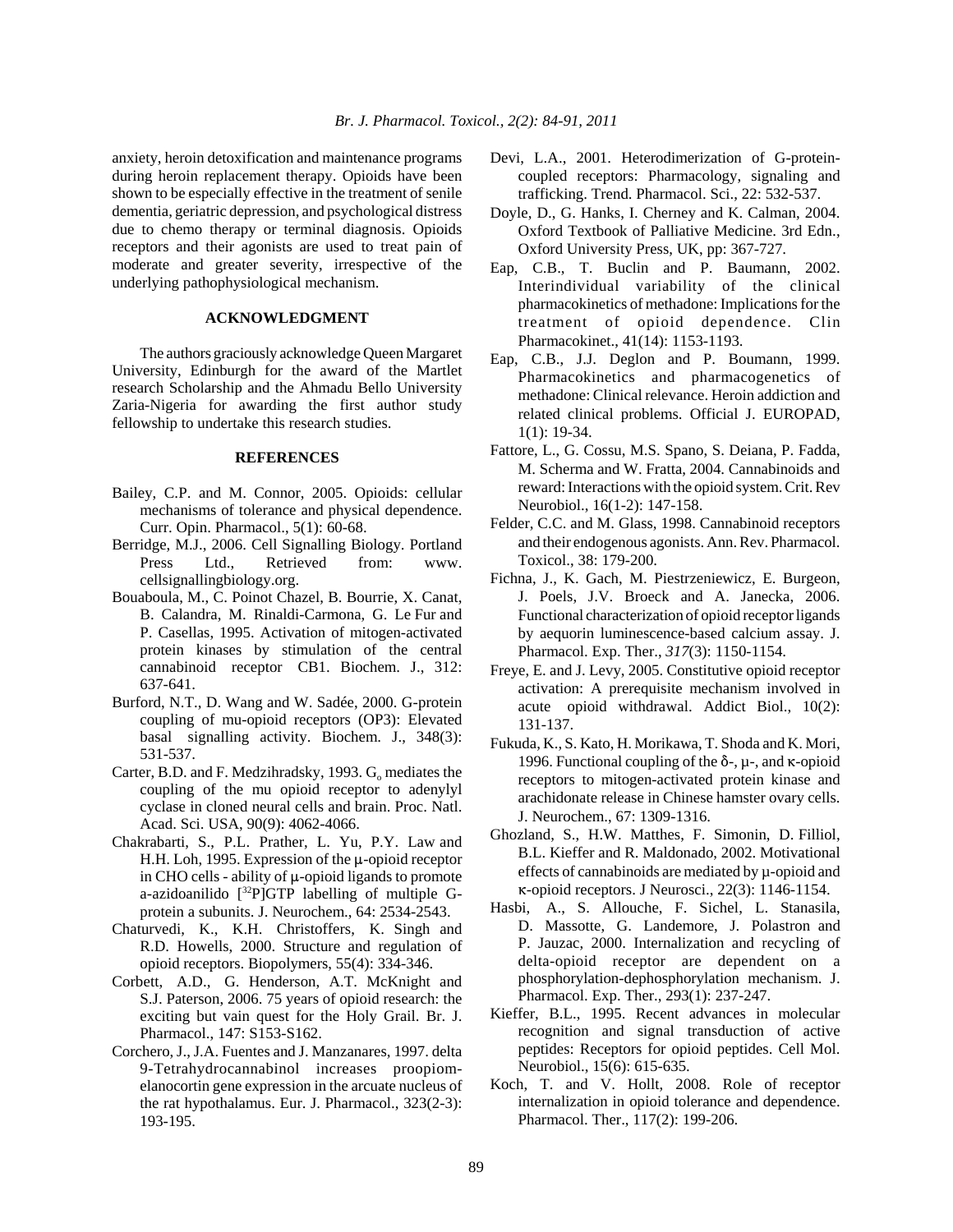anxiety, heroin detoxification and maintenance programs during heroin replacement therapy. Opioids have been shown to be especially effective in the treatment of senile dementia, geriatric depression, and psychological distress due to chemo therapy or terminal diagnosis. Opioids receptors and their agonists are used to treat pain of moderate and greater severity, irrespective of the underlying pathophysiological mechanism.

## **ACKNOWLEDGMENT**

The authors graciously acknowledge Queen Margaret University, Edinburgh for the award of the Martlet research Scholarship and the Ahmadu Bello University Zaria-Nigeria for awarding the first author study fellowship to undertake this research studies.

### **REFERENCES**

- Bailey, C.P. and M. Connor, 2005. Opioids: cellular mechanisms of tolerance and physical dependence. Curr. Opin. Pharmacol., 5(1): 60-68.
- Berridge, M.J., 2006. Cell Signalling Biology. Portland Press Ltd., Retrieved from: www. cellsignallingbiology.org.
- Bouaboula, M., C. Poinot Chazel, B. Bourrie, X. Canat, B. Calandra, M. Rinaldi-Carmona, G. Le Fur and P. Casellas, 1995. Activation of mitogen-activated protein kinases by stimulation of the central cannabinoid receptor CB1. Biochem. J., 312: 637-641.
- Burford, N.T., D. Wang and W. Sadée, 2000. G-protein coupling of mu-opioid receptors (OP3): Elevated basal signalling activity. Biochem. J., 348(3): 531-537.
- Carter, B.D. and F. Medzihradsky, 1993. G<sub>o</sub> mediates the coupling of the mu opioid receptor to adenylyl cyclase in cloned neural cells and brain. Proc. Natl. Acad. Sci. USA, 90(9): 4062-4066.
- Chakrabarti, S., P.L. Prather, L. Yu, P.Y. Law and H.H. Loh, 1995. Expression of the  $\mu$ -opioid receptor in CHO cells - ability of  $\mu$ -opioid ligands to promote a-azidoanilido  $[^{32}P]GTP$  labelling of multiple Gprotein a subunits. J. Neurochem., 64: 2534-2543.
- Chaturvedi, K., K.H. Christoffers, K. Singh and R.D. Howells, 2000. Structure and regulation of opioid receptors. Biopolymers, 55(4): 334-346.
- Corbett, A.D., G. Henderson, A.T. McKnight and S.J. Paterson, 2006. 75 years of opioid research: the exciting but vain quest for the Holy Grail. Br. J. Pharmacol., 147: S153-S162.
- Corchero, J., J.A. Fuentes and J. Manzanares, 1997. delta 9-Tetrahydrocannabinol increases proopiomelanocortin gene expression in the arcuate nucleus of the rat hypothalamus. Eur. J. Pharmacol., 323(2-3): 193-195.
- Devi, L.A., 2001. Heterodimerization of G-proteincoupled receptors: Pharmacology, signaling and trafficking. Trend. Pharmacol. Sci., 22: 532-537.
- Doyle, D., G. Hanks, I. Cherney and K. Calman, 2004. Oxford Textbook of Palliative Medicine. 3rd Edn., Oxford University Press, UK, pp: 367-727.
- Eap, C.B., T. Buclin and P. Baumann, 2002. Interindividual variability of the clinical pharmacokinetics of methadone: Implications for the treatment of opioid dependence. Clin Pharmacokinet., 41(14): 1153-1193.
- Eap, C.B., J.J. Deglon and P. Boumann, 1999. Pharmacokinetics and pharmacogenetics of methadone: Clinical relevance. Heroin addiction and related clinical problems. Official J. EUROPAD, 1(1): 19-34.
- Fattore, L., G. Cossu, M.S. Spano, S. Deiana, P. Fadda, M. Scherma and W. Fratta, 2004. Cannabinoids and reward: Interactions with the opioid system. Crit. Rev Neurobiol., 16(1-2): 147-158.
- Felder, C.C. and M. Glass, 1998. Cannabinoid receptors and their endogenous agonists. Ann. Rev. Pharmacol. Toxicol., 38: 179-200.
- Fichna, J., K. Gach, M. Piestrzeniewicz, E. Burgeon, J. Poels, J.V. Broeck and A. Janecka, 2006. Functional characterization of opioid receptor ligands by aequorin luminescence-based calcium assay. J. Pharmacol. Exp. Ther., *317*(3): 1150-1154.
- Freye, E. and J. Levy, 2005. Constitutive opioid receptor activation: A prerequisite mechanism involved in acute opioid withdrawal. Addict Biol., 10(2): 131-137.
- Fukuda, K., S. Kato, H. Morikawa, T. Shoda and K. Mori, 1996. Functional coupling of the  $\delta$ -,  $\mu$ -, and  $\kappa$ -opioid receptors to mitogen-activated protein kinase and arachidonate release in Chinese hamster ovary cells. J. Neurochem., 67: 1309-1316.
- Ghozland, S., H.W. Matthes, F. Simonin, D. Filliol, B.L. Kieffer and R. Maldonado, 2002. Motivational effects of cannabinoids are mediated by µ-opioid and 6-opioid receptors. J Neurosci., 22(3): 1146-1154.
- Hasbi, A., S. Allouche, F. Sichel, L. Stanasila, D. Massotte, G. Landemore, J. Polastron and P. Jauzac, 2000. Internalization and recycling of delta-opioid receptor are dependent on a phosphorylation-dephosphorylation mechanism. J. Pharmacol. Exp. Ther., 293(1): 237-247.
- Kieffer, B.L., 1995. Recent advances in molecular recognition and signal transduction of active peptides: Receptors for opioid peptides. Cell Mol. Neurobiol., 15(6): 615-635.
- Koch, T. and V. Hollt, 2008. Role of receptor internalization in opioid tolerance and dependence. Pharmacol. Ther., 117(2): 199-206.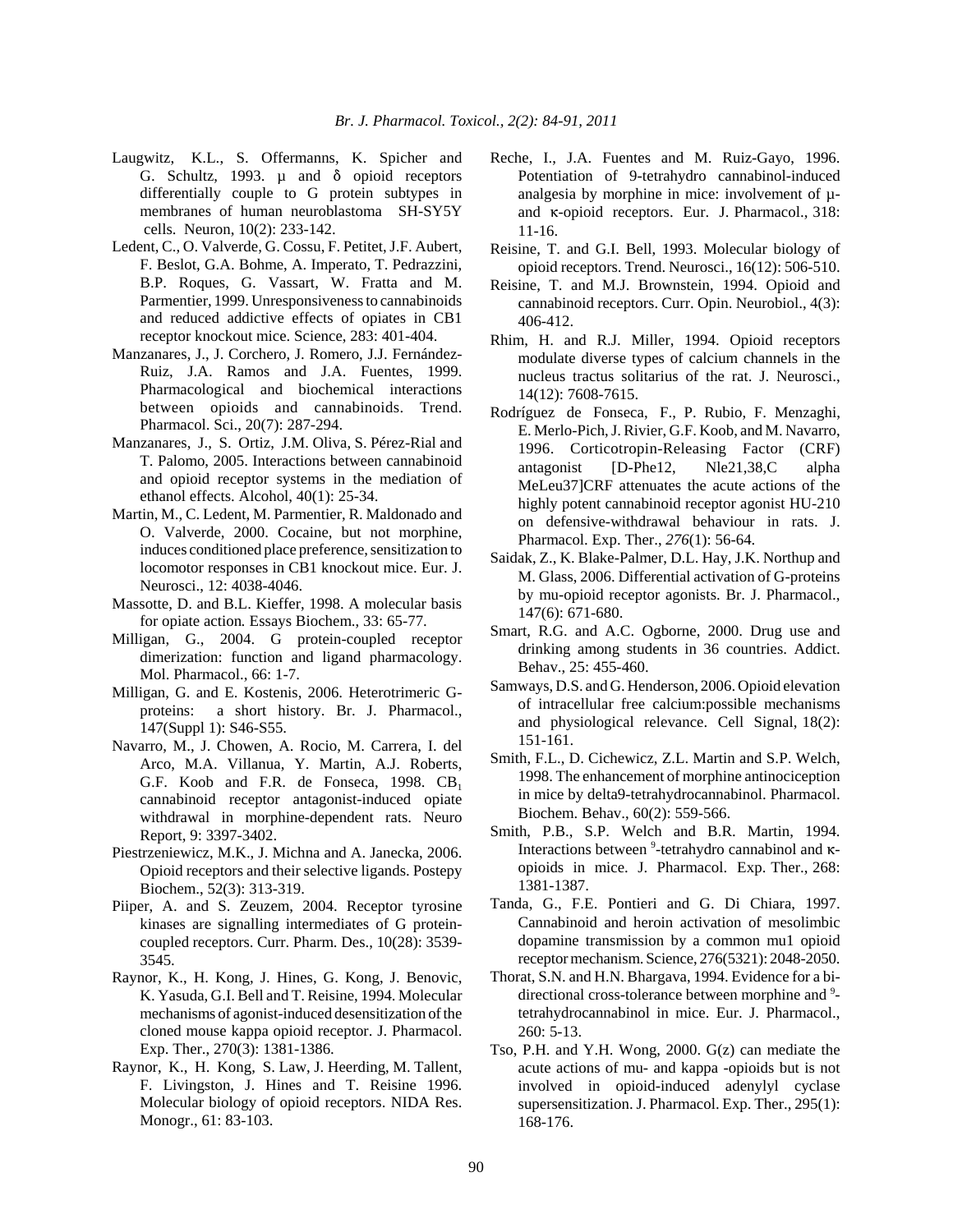- Laugwitz, K.L., S. Offermanns, K. Spicher and G. Schultz, 1993.  $\mu$  and  $\delta$  opioid receptors differentially couple to G protein subtypes in membranes of human neuroblastoma SH-SY5Y cells. Neuron, 10(2): 233-142.
- Ledent, C., O. Valverde, G. Cossu, F. Petitet, J.F. Aubert, F. Beslot, G.A. Bohme, A. Imperato, T. Pedrazzini, B.P. Roques, G. Vassart, W. Fratta and M. Parmentier, 1999. Unresponsiveness to cannabinoids and reduced addictive effects of opiates in CB1 receptor knockout mice. Science, 283: 401-404.
- Manzanares, J., J. Corchero, J. Romero, J.J. Fernández-Ruiz, J.A. Ramos and J.A. Fuentes, 1999. Pharmacological and biochemical interactions between opioids and cannabinoids. Trend. Pharmacol. Sci., 20(7): 287-294.
- Manzanares, J., S. Ortiz, J.M. Oliva, S. Pérez-Rial and T. Palomo, 2005. Interactions between cannabinoid and opioid receptor systems in the mediation of ethanol effects. Alcohol, 40(1): 25-34.
- Martin, M., C. Ledent, M. Parmentier, R. Maldonado and O. Valverde, 2000. Cocaine, but not morphine, induces conditioned place preference, sensitization to locomotor responses in CB1 knockout mice. Eur. J. Neurosci., 12: 4038-4046.
- Massotte, D. and B.L. Kieffer, 1998. A molecular basis for opiate action*.* Essays Biochem., 33: 65-77.
- Milligan, G., 2004. G protein-coupled receptor dimerization: function and ligand pharmacology. Mol. Pharmacol., 66: 1-7.
- Milligan, G. and E. Kostenis, 2006. Heterotrimeric Gproteins: a short history. Br. J. Pharmacol., 147(Suppl 1): S46-S55.
- Navarro, M., J. Chowen, A. Rocio, M. Carrera, I. del Arco, M.A. Villanua, Y. Martin, A.J. Roberts, G.F. Koob and F.R. de Fonseca, 1998.  $CB_1$ cannabinoid receptor antagonist-induced opiate withdrawal in morphine-dependent rats. Neuro Report, 9: 3397-3402.
- Piestrzeniewicz, M.K., J. Michna and A. Janecka, 2006. Opioid receptors and their selective ligands. Postepy Biochem., 52(3): 313-319.
- Piiper, A. and S. Zeuzem, 2004. Receptor tyrosine kinases are signalling intermediates of G proteincoupled receptors. Curr. Pharm. Des., 10(28): 3539- 3545.
- Raynor, K., H. Kong, J. Hines, G. Kong, J. Benovic, K. Yasuda, G.I. Bell and T. Reisine, 1994. Molecular mechanisms of agonist-induced desensitization of the cloned mouse kappa opioid receptor. J. Pharmacol. Exp. Ther., 270(3): 1381-1386.
- Raynor, K., H. Kong, S. Law, J. Heerding, M. Tallent, F. Livingston, J. Hines and T. Reisine 1996. Molecular biology of opioid receptors. NIDA Res. Monogr., 61: 83-103.
- Reche, I., J.A. Fuentes and M. Ruiz-Gayo, 1996. Potentiation of 9-tetrahydro cannabinol-induced analgesia by morphine in mice: involvement of µand  $\kappa$ -opioid receptors. Eur. J. Pharmacol., 318: 11-16.
- Reisine, T. and G.I. Bell, 1993. Molecular biology of opioid receptors. Trend. Neurosci., 16(12): 506-510.
- Reisine, T. and M.J. Brownstein, 1994. Opioid and cannabinoid receptors. Curr. Opin. Neurobiol., 4(3): 406-412.
- Rhim, H. and R.J. Miller, 1994. Opioid receptors modulate diverse types of calcium channels in the nucleus tractus solitarius of the rat. J. Neurosci., 14(12): 7608-7615.
- Rodríguez de Fonseca, F., P. Rubio, F. Menzaghi, E. Merlo-Pich, J. Rivier, G.F. Koob, and M. Navarro, 1996. Corticotropin-Releasing Factor (CRF) antagonist [D-Phe12, Nle21,38,C alpha MeLeu37]CRF attenuates the acute actions of the highly potent cannabinoid receptor agonist HU-210 on defensive-withdrawal behaviour in rats. J. Pharmacol. Exp. Ther., *276*(1): 56-64.
- Saidak, Z., K. Blake-Palmer, D.L. Hay, J.K. Northup and M. Glass, 2006. Differential activation of G-proteins by mu-opioid receptor agonists. Br. J. Pharmacol., 147(6): 671-680.
- Smart, R.G. and A.C. Ogborne, 2000. Drug use and drinking among students in 36 countries. Addict. Behav., 25: 455-460.
- Samways, D.S. and G. Henderson, 2006. Opioid elevation of intracellular free calcium:possible mechanisms and physiological relevance. Cell Signal, 18(2): 151-161.
- Smith, F.L., D. Cichewicz, Z.L. Martin and S.P. Welch, 1998. The enhancement of morphine antinociception in mice by delta9-tetrahydrocannabinol. Pharmacol. Biochem. Behav., 60(2): 559-566.
- Smith, P.B., S.P. Welch and B.R. Martin, 1994. Interactions between  $9$ -tetrahydro cannabinol and  $\kappa$ opioids in mice. J. Pharmacol. Exp. Ther., 268: 1381-1387.
- Tanda, G., F.E. Pontieri and G. Di Chiara, 1997. Cannabinoid and heroin activation of mesolimbic dopamine transmission by a common mu1 opioid receptor mechanism. Science, 276(5321): 2048-2050.
- Thorat, S.N. and H.N. Bhargava, 1994. Evidence for a bidirectional cross-tolerance between morphine and <sup>9</sup>tetrahydrocannabinol in mice. Eur. J. Pharmacol., 260: 5-13.
- Tso, P.H. and Y.H. Wong, 2000. G(z) can mediate the acute actions of mu- and kappa -opioids but is not involved in opioid-induced adenylyl cyclase supersensitization. J. Pharmacol. Exp. Ther., 295(1): 168-176.